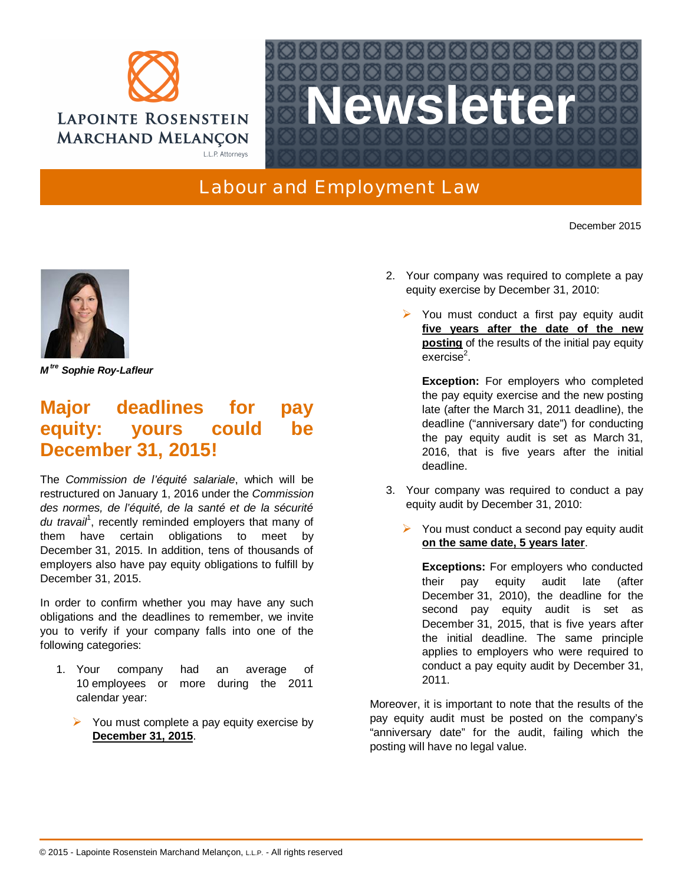



## Labour and Employment Law

December 2015



*M tre Sophie Roy-Lafleur*

## **Major deadlines for pay equity: yours could be December 31, 2015!**

The *Commission de l'équité salariale*, which will be restructured on January 1, 2016 under the *Commission des normes, de l'équité, de la santé et de la sécurité* du travail<sup>1</sup>, recently reminded employers that many of them have certain obligations to meet by December 31, 2015. In addition, tens of thousands of employers also have pay equity obligations to fulfill by December 31, 2015.

In order to confirm whether you may have any such obligations and the deadlines to remember, we invite you to verify if your company falls into one of the following categories:

- 1. Your company had an average of 10 employees or more during the 2011 calendar year:
	- $\triangleright$  You must complete a pay equity exercise by **December 31, 2015**.
- 2. Your company was required to complete a pay equity exercise by December 31, 2010:
	- $\triangleright$  You must conduct a first pay equity audit **five years after the date of the new posting** of the results of the initial pay equity exercise $^2$ .

**Exception:** For employers who completed the pay equity exercise and the new posting late (after the March 31, 2011 deadline), the deadline ("anniversary date") for conducting the pay equity audit is set as March 31, 2016, that is five years after the initial deadline.

- 3. Your company was required to conduct a pay equity audit by December 31, 2010:
	- You must conduct a second pay equity audit **on the same date, 5 years later**.

**Exception[s:](mailto:guy.dancosse@lrmm.com)** For employers who conducted their pay equity audit late (after December 31, 2010), the deadline for the second pay equity audit is set as December 31, 2015, that is five years after the initial deadline. The same principle applies to employers who were required to conduct a pay equity audit by December 31, 2011.

Moreover, it is important to note that the results of the pay equity audit must be posted on the company's "anniversary date" for the audit, failing which the posting will have no legal value.